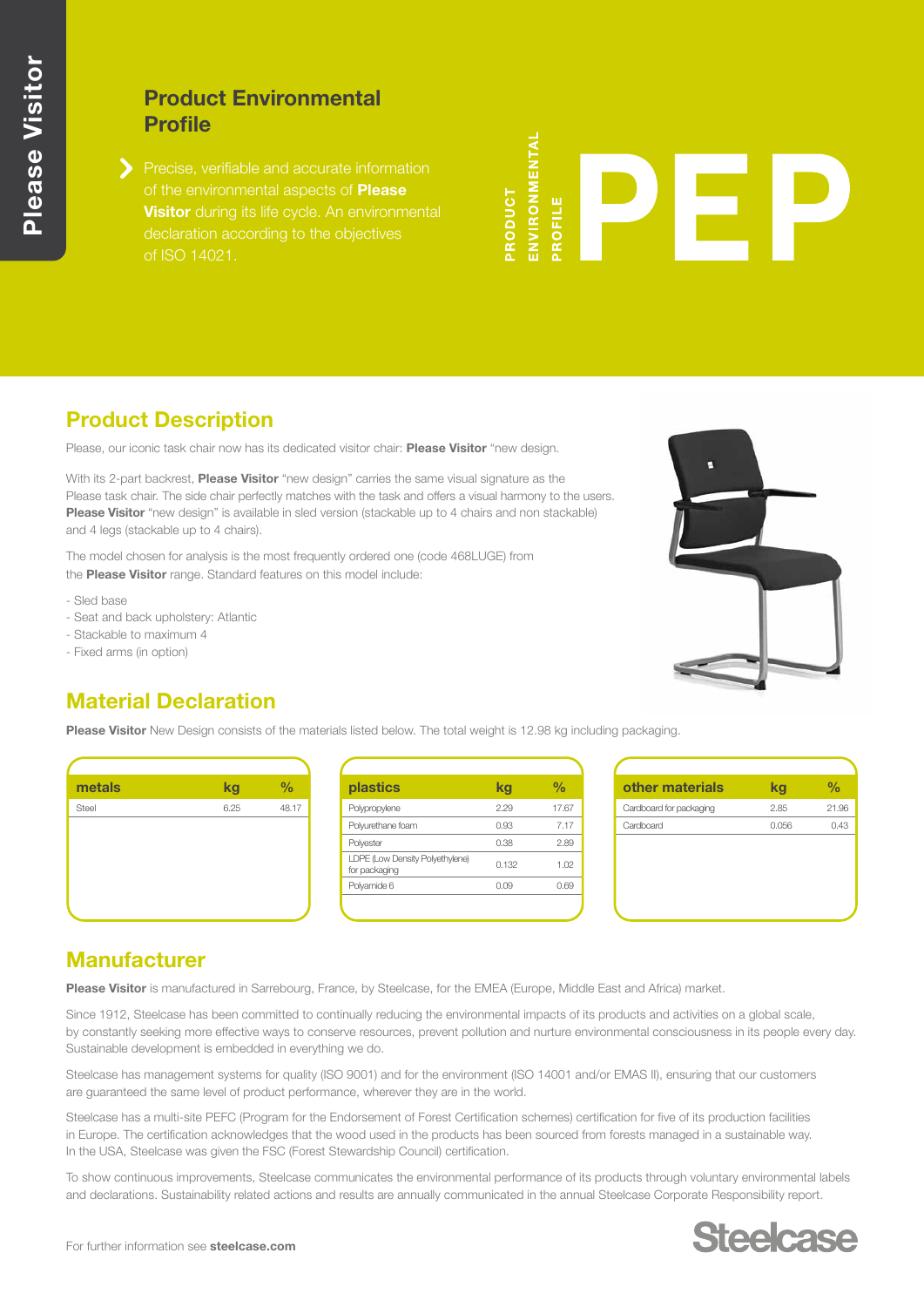## **Product Environmental Profile**

Precise, verifiable and accurate information of the environmental aspects of **Please Visitor** during its life cycle. An environmental declaration according to the objectives

**NVIRONMENTAL** RODUCT ROFILE

# **Product Description**

Please, our iconic task chair now has its dedicated visitor chair: **Please Visitor** "new design.

With its 2-part backrest, **Please Visitor** "new design" carries the same visual signature as the Please task chair. The side chair perfectly matches with the task and offers a visual harmony to the users. **Please Visitor** "new design" is available in sled version (stackable up to 4 chairs and non stackable) and 4 legs (stackable up to 4 chairs).

The model chosen for analysis is the most frequently ordered one (code 468LUGE) from the **Please Visitor** range. Standard features on this model include:

- Sled base
- Seat and back upholstery: Atlantic
- Stackable to maximum 4
- Fixed arms (in option)



## **Material Declaration**

**Please Visitor** New Design consists of the materials listed below. The total weight is 12.98 kg including packaging.



| plastics                                         | kq    | %     |
|--------------------------------------------------|-------|-------|
| Polypropylene                                    | 2.29  | 17.67 |
| Polyurethane foam                                | 0.93  | 7.17  |
| Polyester                                        | 0.38  | 2.89  |
| LDPE (Low Density Polyethylene)<br>for packaging | 0.132 | 1.02  |
| Polyamide 6                                      | 0.09  | 0.69  |
|                                                  |       |       |

| other materials         | kg    | %     |
|-------------------------|-------|-------|
| Cardboard for packaging | 2.85  | 21.96 |
| Cardboard               | 0.056 | 0.43  |
|                         |       |       |
|                         |       |       |
|                         |       |       |
|                         |       |       |
|                         |       |       |

## **Manufacturer**

**Please Visitor** is manufactured in Sarrebourg, France, by Steelcase, for the EMEA (Europe, Middle East and Africa) market.

Since 1912, Steelcase has been committed to continually reducing the environmental impacts of its products and activities on a global scale, by constantly seeking more effective ways to conserve resources, prevent pollution and nurture environmental consciousness in its people every day. Sustainable development is embedded in everything we do.

Steelcase has management systems for quality (ISO 9001) and for the environment (ISO 14001 and/or EMAS II), ensuring that our customers are guaranteed the same level of product performance, wherever they are in the world.

Steelcase has a multi-site PEFC (Program for the Endorsement of Forest Certification schemes) certification for five of its production facilities in Europe. The certification acknowledges that the wood used in the products has been sourced from forests managed in a sustainable way. In the USA, Steelcase was given the FSC (Forest Stewardship Council) certification.

To show continuous improvements, Steelcase communicates the environmental performance of its products through voluntary environmental labels and declarations. Sustainability related actions and results are annually communicated in the annual Steelcase Corporate Responsibility report.